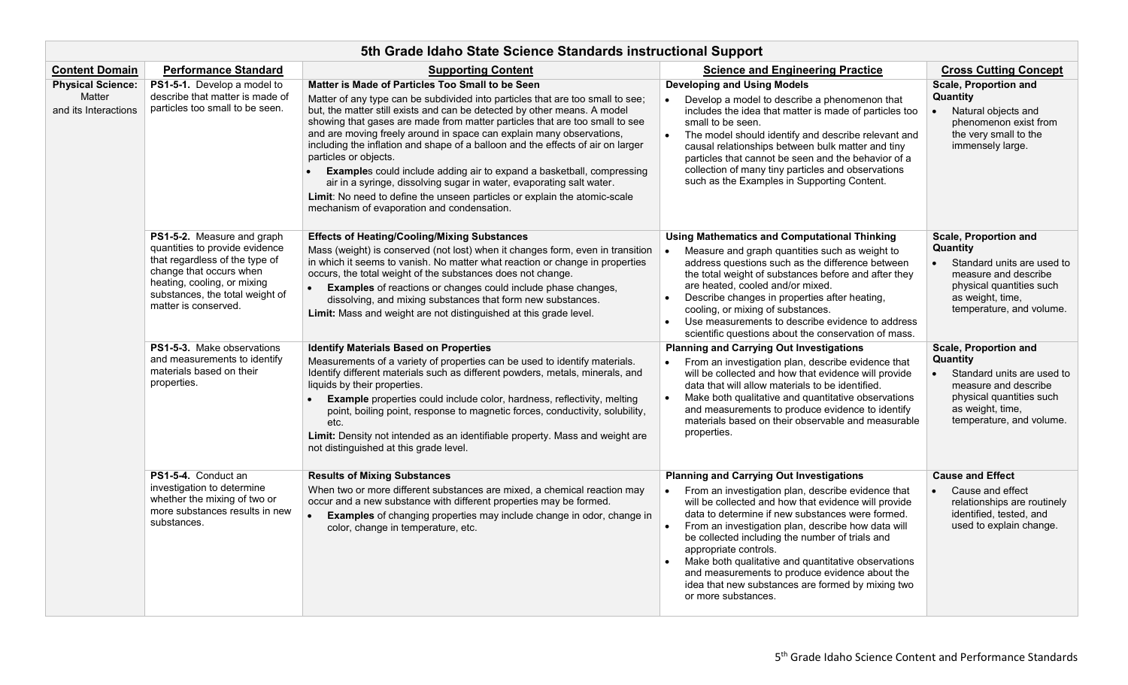| 5th Grade Idaho State Science Standards instructional Support |                                                                                                                                                                                                                     |                                                                                                                                                                                                                                                                                                                                                                                                                                                                                                                                                                                                                                                                                                                                                                      |                                                                                                                                                                                                                                                                                                                                                                                                                                                                                                                                                       |                                                                                                                                                                            |
|---------------------------------------------------------------|---------------------------------------------------------------------------------------------------------------------------------------------------------------------------------------------------------------------|----------------------------------------------------------------------------------------------------------------------------------------------------------------------------------------------------------------------------------------------------------------------------------------------------------------------------------------------------------------------------------------------------------------------------------------------------------------------------------------------------------------------------------------------------------------------------------------------------------------------------------------------------------------------------------------------------------------------------------------------------------------------|-------------------------------------------------------------------------------------------------------------------------------------------------------------------------------------------------------------------------------------------------------------------------------------------------------------------------------------------------------------------------------------------------------------------------------------------------------------------------------------------------------------------------------------------------------|----------------------------------------------------------------------------------------------------------------------------------------------------------------------------|
| <b>Content Domain</b>                                         | Performance Standard                                                                                                                                                                                                | <b>Supporting Content</b>                                                                                                                                                                                                                                                                                                                                                                                                                                                                                                                                                                                                                                                                                                                                            | <b>Science and Engineering Practice</b>                                                                                                                                                                                                                                                                                                                                                                                                                                                                                                               | <b>Cross Cutting Concept</b>                                                                                                                                               |
| <b>Physical Science:</b><br>Matter<br>and its Interactions    | PS1-5-1. Develop a model to<br>describe that matter is made of<br>particles too small to be seen.                                                                                                                   | Matter is Made of Particles Too Small to be Seen<br>Matter of any type can be subdivided into particles that are too small to see;<br>but, the matter still exists and can be detected by other means. A model<br>showing that gases are made from matter particles that are too small to see<br>and are moving freely around in space can explain many observations,<br>including the inflation and shape of a balloon and the effects of air on larger<br>particles or objects.<br><b>Examples</b> could include adding air to expand a basketball, compressing<br>air in a syringe, dissolving sugar in water, evaporating salt water.<br>Limit: No need to define the unseen particles or explain the atomic-scale<br>mechanism of evaporation and condensation. | <b>Developing and Using Models</b><br>Develop a model to describe a phenomenon that<br>includes the idea that matter is made of particles too<br>small to be seen.<br>The model should identify and describe relevant and<br>causal relationships between bulk matter and tiny<br>particles that cannot be seen and the behavior of a<br>collection of many tiny particles and observations<br>such as the Examples in Supporting Content.                                                                                                            | <b>Scale, Proportion and</b><br>Quantity<br>Natural objects and<br>phenomenon exist from<br>the very small to the<br>immensely large.                                      |
|                                                               | PS1-5-2. Measure and graph<br>quantities to provide evidence<br>that regardless of the type of<br>change that occurs when<br>heating, cooling, or mixing<br>substances, the total weight of<br>matter is conserved. | <b>Effects of Heating/Cooling/Mixing Substances</b><br>Mass (weight) is conserved (not lost) when it changes form, even in transition<br>in which it seems to vanish. No matter what reaction or change in properties<br>occurs, the total weight of the substances does not change.<br><b>Examples</b> of reactions or changes could include phase changes,<br>$\bullet$<br>dissolving, and mixing substances that form new substances.<br>Limit: Mass and weight are not distinguished at this grade level.                                                                                                                                                                                                                                                        | <b>Using Mathematics and Computational Thinking</b><br>Measure and graph quantities such as weight to<br>address questions such as the difference between<br>the total weight of substances before and after they<br>are heated, cooled and/or mixed.<br>Describe changes in properties after heating,<br>cooling, or mixing of substances.<br>Use measurements to describe evidence to address<br>scientific questions about the conservation of mass.                                                                                               | Scale, Proportion and<br><b>Quantity</b><br>Standard units are used to<br>measure and describe<br>physical quantities such<br>as weight, time,<br>temperature, and volume. |
|                                                               | <b>PS1-5-3.</b> Make observations<br>and measurements to identify<br>materials based on their<br>properties.                                                                                                        | <b>Identify Materials Based on Properties</b><br>Measurements of a variety of properties can be used to identify materials.<br>Identify different materials such as different powders, metals, minerals, and<br>liquids by their properties.<br><b>Example</b> properties could include color, hardness, reflectivity, melting<br>$\bullet$<br>point, boiling point, response to magnetic forces, conductivity, solubility,<br>etc.<br>Limit: Density not intended as an identifiable property. Mass and weight are<br>not distinguished at this grade level.                                                                                                                                                                                                        | <b>Planning and Carrying Out Investigations</b><br>From an investigation plan, describe evidence that<br>will be collected and how that evidence will provide<br>data that will allow materials to be identified.<br>Make both qualitative and quantitative observations<br>$\bullet$<br>and measurements to produce evidence to identify<br>materials based on their observable and measurable<br>properties.                                                                                                                                        | Scale, Proportion and<br>Quantity<br>Standard units are used to<br>measure and describe<br>physical quantities such<br>as weight, time,<br>temperature, and volume.        |
|                                                               | PS1-5-4. Conduct an<br>investigation to determine<br>whether the mixing of two or<br>more substances results in new<br>substances.                                                                                  | <b>Results of Mixing Substances</b><br>When two or more different substances are mixed, a chemical reaction may<br>occur and a new substance with different properties may be formed.<br><b>Examples</b> of changing properties may include change in odor, change in<br>color, change in temperature, etc.                                                                                                                                                                                                                                                                                                                                                                                                                                                          | <b>Planning and Carrying Out Investigations</b><br>From an investigation plan, describe evidence that<br>$\bullet$<br>will be collected and how that evidence will provide<br>data to determine if new substances were formed.<br>From an investigation plan, describe how data will<br>be collected including the number of trials and<br>appropriate controls.<br>Make both qualitative and quantitative observations<br>and measurements to produce evidence about the<br>idea that new substances are formed by mixing two<br>or more substances. | <b>Cause and Effect</b><br>Cause and effect<br>relationships are routinely<br>identified, tested, and<br>used to explain change.                                           |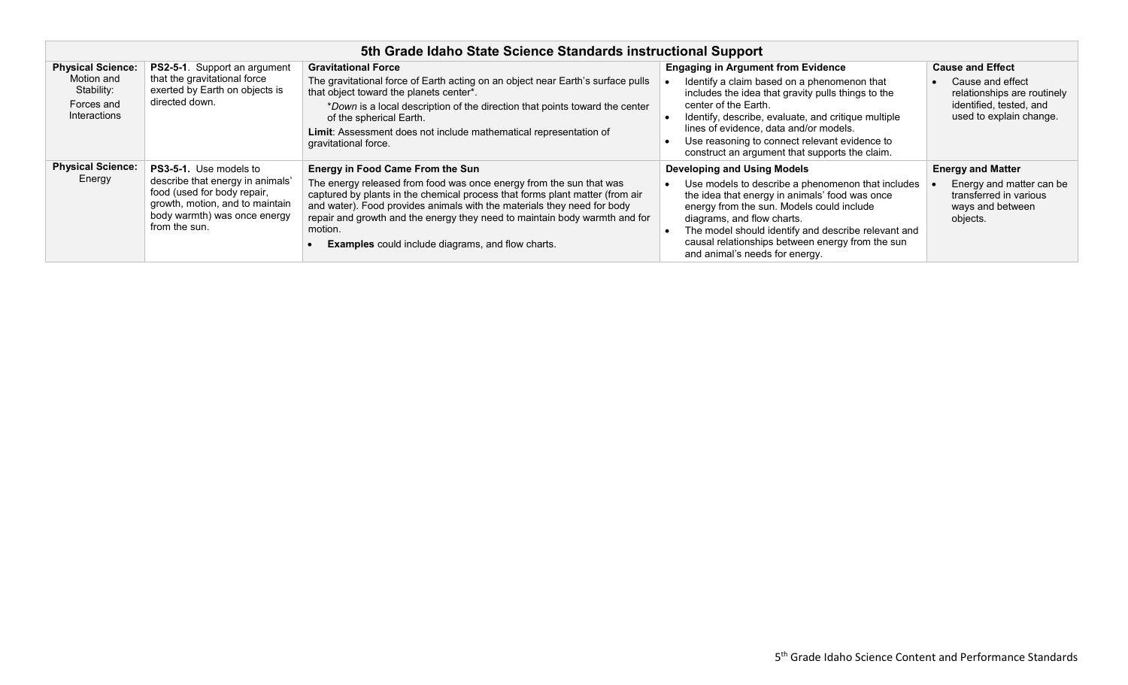| 5th Grade Idaho State Science Standards instructional Support                      |                                                                                                                                                                                      |                                                                                                                                                                                                                                                                                                                                                                                                                                |                                                                                                                                                                                                                                                                                                                                                                            |                                                                                                                                  |
|------------------------------------------------------------------------------------|--------------------------------------------------------------------------------------------------------------------------------------------------------------------------------------|--------------------------------------------------------------------------------------------------------------------------------------------------------------------------------------------------------------------------------------------------------------------------------------------------------------------------------------------------------------------------------------------------------------------------------|----------------------------------------------------------------------------------------------------------------------------------------------------------------------------------------------------------------------------------------------------------------------------------------------------------------------------------------------------------------------------|----------------------------------------------------------------------------------------------------------------------------------|
| <b>Physical Science:</b><br>Motion and<br>Stability:<br>Forces and<br>Interactions | <b>PS2-5-1.</b> Support an argument<br>that the gravitational force<br>exerted by Earth on objects is<br>directed down.                                                              | <b>Gravitational Force</b><br>The gravitational force of Earth acting on an object near Earth's surface pulls<br>that object toward the planets center*.<br>*Down is a local description of the direction that points toward the center<br>of the spherical Earth.<br>Limit: Assessment does not include mathematical representation of<br>gravitational force.                                                                | <b>Engaging in Argument from Evidence</b><br>Identify a claim based on a phenomenon that<br>includes the idea that gravity pulls things to the<br>center of the Earth.<br>Identify, describe, evaluate, and critique multiple<br>lines of evidence, data and/or models.<br>Use reasoning to connect relevant evidence to<br>construct an argument that supports the claim. | <b>Cause and Effect</b><br>Cause and effect<br>relationships are routinely<br>identified, tested, and<br>used to explain change. |
| <b>Physical Science:</b><br>Energy                                                 | <b>PS3-5-1.</b> Use models to<br>describe that energy in animals'<br>food (used for body repair,<br>growth, motion, and to maintain<br>body warmth) was once energy<br>from the sun. | <b>Energy in Food Came From the Sun</b><br>The energy released from food was once energy from the sun that was<br>captured by plants in the chemical process that forms plant matter (from air<br>and water). Food provides animals with the materials they need for body<br>repair and growth and the energy they need to maintain body warmth and for<br>motion.<br><b>Examples</b> could include diagrams, and flow charts. | <b>Developing and Using Models</b><br>Use models to describe a phenomenon that includes<br>the idea that energy in animals' food was once<br>energy from the sun. Models could include<br>diagrams, and flow charts.<br>The model should identify and describe relevant and<br>causal relationships between energy from the sun<br>and animal's needs for energy.          | <b>Energy and Matter</b><br>Energy and matter can be<br>transferred in various<br>ways and between<br>objects.                   |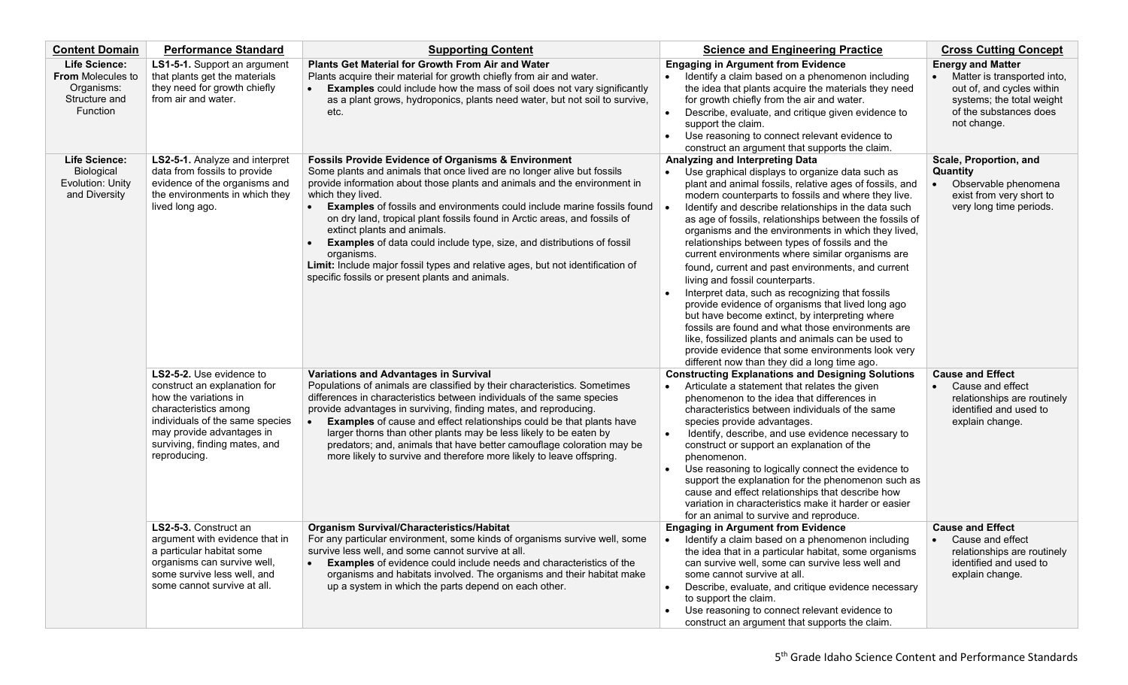| <b>Content Domain</b>                                                                       | <b>Performance Standard</b>                                                                                                                                                                                                 | <b>Supporting Content</b>                                                                                                                                                                                                                                                                                                                                                                                                                                                                                                                                                                                                                                                     | <b>Science and Engineering Practice</b>                                                                                                                                                                                                                                                                                                                                                                                                                                                                                                                                                                                                                                                                                                                                                                                                                                                                                                                 | <b>Cross Cutting Concept</b>                                                                                                                               |
|---------------------------------------------------------------------------------------------|-----------------------------------------------------------------------------------------------------------------------------------------------------------------------------------------------------------------------------|-------------------------------------------------------------------------------------------------------------------------------------------------------------------------------------------------------------------------------------------------------------------------------------------------------------------------------------------------------------------------------------------------------------------------------------------------------------------------------------------------------------------------------------------------------------------------------------------------------------------------------------------------------------------------------|---------------------------------------------------------------------------------------------------------------------------------------------------------------------------------------------------------------------------------------------------------------------------------------------------------------------------------------------------------------------------------------------------------------------------------------------------------------------------------------------------------------------------------------------------------------------------------------------------------------------------------------------------------------------------------------------------------------------------------------------------------------------------------------------------------------------------------------------------------------------------------------------------------------------------------------------------------|------------------------------------------------------------------------------------------------------------------------------------------------------------|
| <b>Life Science:</b><br><b>From Molecules to</b><br>Organisms:<br>Structure and<br>Function | LS1-5-1. Support an argument<br>that plants get the materials<br>they need for growth chiefly<br>from air and water.                                                                                                        | Plants Get Material for Growth From Air and Water<br>Plants acquire their material for growth chiefly from air and water.<br><b>Examples</b> could include how the mass of soil does not vary significantly<br>as a plant grows, hydroponics, plants need water, but not soil to survive,<br>etc.                                                                                                                                                                                                                                                                                                                                                                             | <b>Engaging in Argument from Evidence</b><br>Identify a claim based on a phenomenon including<br>the idea that plants acquire the materials they need<br>for growth chiefly from the air and water.<br>Describe, evaluate, and critique given evidence to<br>support the claim.<br>Use reasoning to connect relevant evidence to<br>construct an argument that supports the claim.                                                                                                                                                                                                                                                                                                                                                                                                                                                                                                                                                                      | <b>Energy and Matter</b><br>Matter is transported into,<br>out of, and cycles within<br>systems; the total weight<br>of the substances does<br>not change. |
| <b>Life Science:</b><br>Biological<br><b>Evolution: Unity</b><br>and Diversity              | LS2-5-1. Analyze and interpret<br>data from fossils to provide<br>evidence of the organisms and<br>the environments in which they<br>lived long ago.                                                                        | <b>Fossils Provide Evidence of Organisms &amp; Environment</b><br>Some plants and animals that once lived are no longer alive but fossils<br>provide information about those plants and animals and the environment in<br>which they lived.<br><b>Examples</b> of fossils and environments could include marine fossils found<br>on dry land, tropical plant fossils found in Arctic areas, and fossils of<br>extinct plants and animals.<br><b>Examples</b> of data could include type, size, and distributions of fossil<br>organisms.<br>Limit: Include major fossil types and relative ages, but not identification of<br>specific fossils or present plants and animals. | Analyzing and Interpreting Data<br>Use graphical displays to organize data such as<br>plant and animal fossils, relative ages of fossils, and<br>modern counterparts to fossils and where they live.<br>Identify and describe relationships in the data such<br>as age of fossils, relationships between the fossils of<br>organisms and the environments in which they lived,<br>relationships between types of fossils and the<br>current environments where similar organisms are<br>found, current and past environments, and current<br>living and fossil counterparts.<br>Interpret data, such as recognizing that fossils<br>provide evidence of organisms that lived long ago<br>but have become extinct, by interpreting where<br>fossils are found and what those environments are<br>like, fossilized plants and animals can be used to<br>provide evidence that some environments look very<br>different now than they did a long time ago. | Scale, Proportion, and<br>Quantity<br>Observable phenomena<br>exist from very short to<br>very long time periods.                                          |
|                                                                                             | LS2-5-2. Use evidence to<br>construct an explanation for<br>how the variations in<br>characteristics among<br>individuals of the same species<br>may provide advantages in<br>surviving, finding mates, and<br>reproducing. | Variations and Advantages in Survival<br>Populations of animals are classified by their characteristics. Sometimes<br>differences in characteristics between individuals of the same species<br>provide advantages in surviving, finding mates, and reproducing.<br><b>Examples</b> of cause and effect relationships could be that plants have<br>larger thorns than other plants may be less likely to be eaten by<br>predators; and, animals that have better camouflage coloration may be<br>more likely to survive and therefore more likely to leave offspring.                                                                                                         | <b>Constructing Explanations and Designing Solutions</b><br>Articulate a statement that relates the given<br>phenomenon to the idea that differences in<br>characteristics between individuals of the same<br>species provide advantages.<br>Identify, describe, and use evidence necessary to<br>$\bullet$<br>construct or support an explanation of the<br>phenomenon.<br>Use reasoning to logically connect the evidence to<br>support the explanation for the phenomenon such as<br>cause and effect relationships that describe how<br>variation in characteristics make it harder or easier<br>for an animal to survive and reproduce.                                                                                                                                                                                                                                                                                                            | <b>Cause and Effect</b><br>Cause and effect<br>relationships are routinely<br>identified and used to<br>explain change.                                    |
|                                                                                             | LS2-5-3. Construct an<br>argument with evidence that in<br>a particular habitat some<br>organisms can survive well,<br>some survive less well, and<br>some cannot survive at all.                                           | <b>Organism Survival/Characteristics/Habitat</b><br>For any particular environment, some kinds of organisms survive well, some<br>survive less well, and some cannot survive at all.<br><b>Examples</b> of evidence could include needs and characteristics of the<br>organisms and habitats involved. The organisms and their habitat make<br>up a system in which the parts depend on each other.                                                                                                                                                                                                                                                                           | <b>Engaging in Argument from Evidence</b><br>Identify a claim based on a phenomenon including<br>the idea that in a particular habitat, some organisms<br>can survive well, some can survive less well and<br>some cannot survive at all.<br>Describe, evaluate, and critique evidence necessary<br>to support the claim.<br>Use reasoning to connect relevant evidence to<br>construct an argument that supports the claim.                                                                                                                                                                                                                                                                                                                                                                                                                                                                                                                            | <b>Cause and Effect</b><br>Cause and effect<br>relationships are routinely<br>identified and used to<br>explain change.                                    |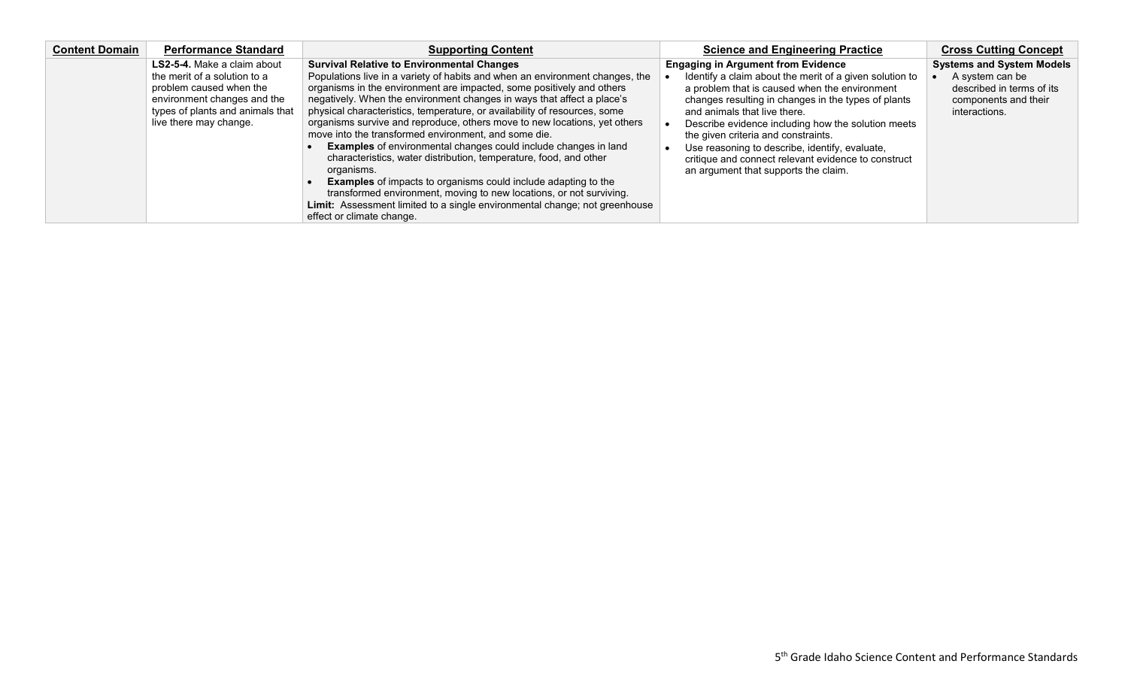| <b>Content Domain</b> | <b>Performance Standard</b>                                                                                                                          | <b>Supporting Content</b>                                                                                                                                                                                                                                                                                                                                                                                                                                                                                                                                                                                                                                                                                                                                                                                                                                                 | <b>Science and Engineering Practice</b>                                                                                                                                                                                                                                                                                                                                                                                                       | <b>Cross Cutting Concept</b>                                                          |
|-----------------------|------------------------------------------------------------------------------------------------------------------------------------------------------|---------------------------------------------------------------------------------------------------------------------------------------------------------------------------------------------------------------------------------------------------------------------------------------------------------------------------------------------------------------------------------------------------------------------------------------------------------------------------------------------------------------------------------------------------------------------------------------------------------------------------------------------------------------------------------------------------------------------------------------------------------------------------------------------------------------------------------------------------------------------------|-----------------------------------------------------------------------------------------------------------------------------------------------------------------------------------------------------------------------------------------------------------------------------------------------------------------------------------------------------------------------------------------------------------------------------------------------|---------------------------------------------------------------------------------------|
|                       | <b>LS2-5-4.</b> Make a claim about                                                                                                                   | <b>Survival Relative to Environmental Changes</b>                                                                                                                                                                                                                                                                                                                                                                                                                                                                                                                                                                                                                                                                                                                                                                                                                         | <b>Engaging in Argument from Evidence</b>                                                                                                                                                                                                                                                                                                                                                                                                     | <b>Systems and System Models</b>                                                      |
|                       | the merit of a solution to a<br>problem caused when the<br>environment changes and the<br>types of plants and animals that<br>live there may change. | Populations live in a variety of habits and when an environment changes, the<br>organisms in the environment are impacted, some positively and others<br>negatively. When the environment changes in ways that affect a place's<br>physical characteristics, temperature, or availability of resources, some<br>organisms survive and reproduce, others move to new locations, yet others<br>move into the transformed environment, and some die.<br><b>Examples</b> of environmental changes could include changes in land<br>characteristics, water distribution, temperature, food, and other<br>organisms.<br><b>Examples</b> of impacts to organisms could include adapting to the<br>transformed environment, moving to new locations, or not surviving.<br>Limit: Assessment limited to a single environmental change; not greenhouse<br>effect or climate change. | Identify a claim about the merit of a given solution to<br>a problem that is caused when the environment<br>changes resulting in changes in the types of plants<br>and animals that live there.<br>Describe evidence including how the solution meets<br>the given criteria and constraints.<br>Use reasoning to describe, identify, evaluate,<br>critique and connect relevant evidence to construct<br>an argument that supports the claim. | A system can be<br>described in terms of its<br>components and their<br>interactions. |